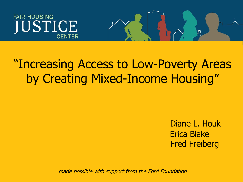# **FAIR HOUSING IUSTICE CENTER**

# "Increasing Access to Low-Poverty Areas by Creating Mixed-Income Housing"

Diane L. Houk Erica Blake Fred Freiberg

nл,

made possible with support from the Ford Foundation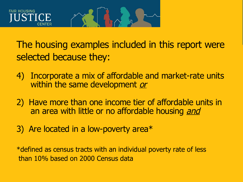

The housing examples included in this report were selected because they:

- 4) Incorporate a mix of affordable and market-rate units within the same development or
- 2) Have more than one income tier of affordable units in an area with little or no affordable housing and
- 3) Are located in a low-poverty area\*

\*defined as census tracts with an individual poverty rate of less than 10% based on 2000 Census data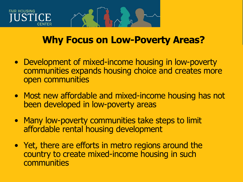# **FAIR HOUSING STICE**

# **Why Focus on Low-Poverty Areas?**

- Development of mixed-income housing in low-poverty communities expands housing choice and creates more open communities
- Most new affordable and mixed-income housing has not been developed in low-poverty areas
- Many low-poverty communities take steps to limit affordable rental housing development
- Yet, there are efforts in metro regions around the country to create mixed-income housing in such communities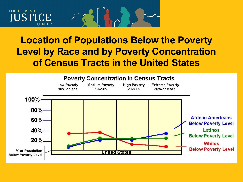### **FAIR HOUSING ICE** CFNTFR

# **Location of Populations Below the Poverty Level by Race and by Poverty Concentration of Census Tracts in the United States**

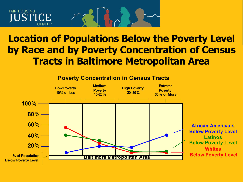### **FAIR HOUSING** JSTICE **CENTER**

# **Location of Populations Below the Poverty Level by Race and by Poverty Concentration of Census Tracts in Baltimore Metropolitan Area**



### **Poverty Concentration in Census Tracts**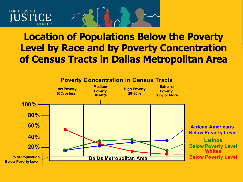### **FAIR HOUSING** JSTICE **CENTER**

# **Location of Populations Below the Poverty Level by Race and by Poverty Concentration of Census Tracts in Dallas Metropolitan Area**

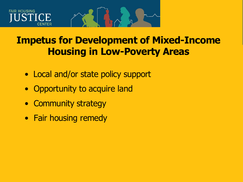# **FAIR HOUSING**

# **Impetus for Development of Mixed-Income Housing in Low-Poverty Areas**

- Local and/or state policy support
- Opportunity to acquire land
- Community strategy
- Fair housing remedy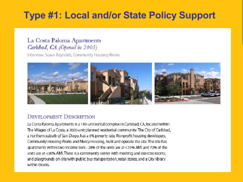# **Type #1: Local and/or State Policy Support**

### La Costa Paloma Apartments Carlsbad, CA (Opened in 2005)

Interview: Susan Reynolds, Community Housing Works



#### **DEVELOPMENT DESCRIPTION**

La Costa Paloma Apartments is a 180-unit rental complex in Carlsbad, CA, located within The Villages of La Costa, a 3600-unit planned residential community. The City of Carlsbad, a northern suburb of San Diego, has a 6% poverty rate. Nonprofit housing developers, Community Housing Works and Mercy Housing, built and operate the site. The site has apartments within two income tiers - 28% of the units are at <50% AMI and 72% of the units are at <60% AMI. There is a community center with meeting and exercise rooms, and playgrounds on-site with public bus transportation, retail stores, and a City library within blocks.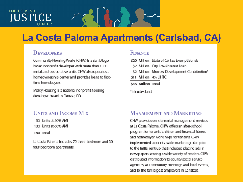#### **FAIR HOUSING STICE CENTER**

# La Costa Paloma Apartments (Carlsbad, CA)

#### **DEVELOPERS**

Community Housing Works (CHW) is a San Diegobased nonprofit developer with more than 1300 rental and cooperative units. CHW also operates a homeownership center and provides loans to firsttime homebuyers.

Mercy Housing is a national nonprofit housing developer based in Denver, CO.

### **UNITS AND INCOME MIX**

50 Units at 50% AMI

- 130 Units at 60% AMI
- 180 Total

La Costa Paloma Includes 79 three-bedroom and 30 four-bedroom apartments.

#### **FINANCE**

- \$20 Million State of CATax-Exempt Bonds
- \$2 Million City Low-Interest Loan
- \$2 Million Morrow Development Contribution\*
- \$11 Million 4% LIHTC
- \$35 Million Total

\*inloudes land

#### **MANAGEMENT AND MARKETING**

CHW provides on-site rental management services at La Costa Paloma, CHW offers an after-school. program for tenants' children and financial fitness and homebuyer workshops for tenants. CHW implemented a county-wide marketing plan prior to the initial rent-up that included placing ads in newspapers serving a wide variety of readers. CHW distributed information to county social service agencies, at community meetings and local events, and to the ten largest employers in Carlsbad.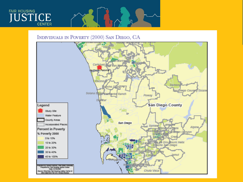# **FAIR HOUSING JUSTICE**

#### INDIVIDUALS IN POVERTY (2000) SAN DIEGO, CA

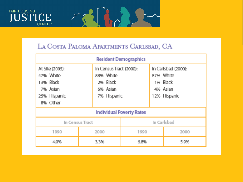



## LA COSTA PALOMA APARTMENTS CARLSBAD, CA

| <b>Resident Demographics</b>                                                      |                                   |                                        |             |                                                                          |  |
|-----------------------------------------------------------------------------------|-----------------------------------|----------------------------------------|-------------|--------------------------------------------------------------------------|--|
| At Site (2005):<br>47% White<br>13% Black<br>7% Asian<br>25% Hispanic<br>8% Other | 88% White<br>2% Black<br>6% Asian | In Census Tract (2000):<br>7% Hispanic |             | In Carlsbad (2000):<br>87% White<br>1% Black<br>4% Asian<br>12% Hispanic |  |
| <b>Individual Poverty Rates</b>                                                   |                                   |                                        |             |                                                                          |  |
| In Census Tract                                                                   |                                   |                                        | In Carlsbad |                                                                          |  |
| 1990                                                                              | 2000                              | 1990<br>2000                           |             |                                                                          |  |
| 4.0%                                                                              | 3.3%                              | 6.8%                                   |             | 5.9%                                                                     |  |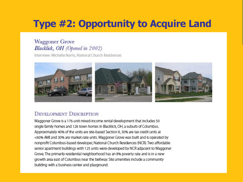# **Type #2: Opportunity to Acquire Land**

### **Waggoner Grove** Blacklick, OH (Opened in 2002)

Interview: Michelle Norris, National Church Residences



### **DEVELOPMENT DESCRIPTION**

Waggoner Grove Is a 176-unit mixed-income rental development that includes 50 single family homes and 126 town homes in Blacklick, OH, a suburb of Columbus. Approximately 40% of the units are site-based Section 8, 30% are tax credit units at <60% AMI and 30% are market-rate units. Waggoner Grove was built and is operated by nonprofit Columbus-based developer, National Church Residences (NCR). Two affordable senior apartment buildings with 125 units were developed by NCR adjacent to Waggoner Grove. The primarily residential neighborhood has an 8% poverty rate and is in a new growth area east of Columbus near the beltway. Site amenities include a community building with a business center and playground.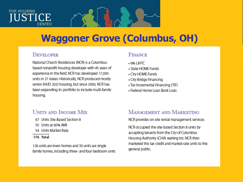#### **FAIR HOUSING CE CFNTER**

# **Waggoner Grove (Columbus, OH)**

#### **DEVELOPER**

National Church Residences (NCR) is a Columbusbased nonprofit housing developer with 45 years of experience in the field. NCR has developed 17,000 units in 27 states. Historically, NCR produced mostly senior (HUD 202) housing, but since 2000, NCR has been expanding its portfolio to include multi-family housing.

#### **FINANCR**

- $.9%$  HHTC
- State HOME Funds
- City HOME Funds
- . City Bridge Financing
- Tax Incremental Financing (TIF)
- . Federal Home Loan Bank Loan

### **UNITS AND INCOME MIX**

- 67 Units Site-Rased Section 8
- 55 Units at 60% AMI
- 54 Units Market-Rate
- 176 Total

126 units are town homes and 50 units are single family homes, including three- and four-bedroom units

### **MANAGEMENT AND MARKETING**

NCR provides on-site rental management services.

NCR occupied the site-based Section 8 units by accepting tenants from the City of Columbus Housing Authority (CHA) waiting list. NCR then marketed the tax credit and market-rate units to the general public.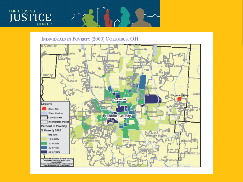

#### INDIVIDUALS IN POVERTY (2000) COLUMBUS, OH

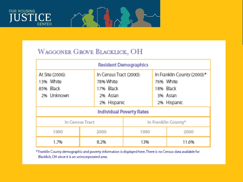



### WAGGONER GROVE BLACKLICK, OH

| <b>Resident Demographics</b>                            |                                    |                                        |  |                                                                                              |  |
|---------------------------------------------------------|------------------------------------|----------------------------------------|--|----------------------------------------------------------------------------------------------|--|
| At Site (2006):<br>13% White<br>85% Black<br>2% Unknown | 78% White<br>17% Black<br>2% Asian | In Census Tract (2000):<br>2% Hispanic |  | In Franklin County (2000): <sup>*</sup><br>76% White<br>18% Black<br>3% Asian<br>2% Hispanic |  |
| <b>Individual Poverty Rates</b>                         |                                    |                                        |  |                                                                                              |  |
| In Census Tract                                         |                                    | In Franklin County®                    |  |                                                                                              |  |
| 1990                                                    | 2000                               | 1990                                   |  | 2000                                                                                         |  |
| 1.7%                                                    | 8.2%                               | 13%                                    |  | 11.6%                                                                                        |  |

\* Franklin County demographic and poverty information is displayed here. There is no Census data available for Blacklick, OH since it is an unincorporated area.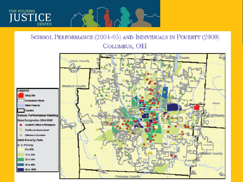

# SCHOOL PERFORMANCE (2004-05) AND INDIVIDUALS IN POVERTY (2000) COLUMBUS, OH

 $\sqrt{}$ 

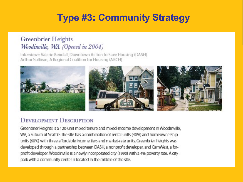# **Type #3: Community Strategy**

### Greenbrier Heights Woodinville, WA (Opened in 2004)

Interviews: Valerie Kendall, Downtown Action to Save Housing (DASH) Arthur Sullivan, A Regional Coalition for Housing (ARCH)



### **DEVELOPMENT DESCRIPTION**

Greenbrier Heights is a 120-unit mixed tenure and mixed-income development in Woodlriville, WA, a suburb of Seattle. The site has a combination of rental units (40%) and homeownership units (60%) with three affordable income tiers and market-rate units. Greenbrier Heights was developed through a partnership between DASH, a nonprofit developer, and CamWest, a forprofit developer. Woodinville is a newly incorporated city (1990) with a 4% poverty rate. A citypark with a community center is located in the middle of the site.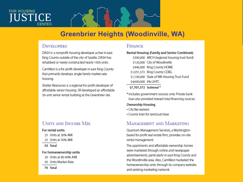#### **FAIR HOUSING** STICE **CFNTFR**

## **Greenbrier Heights (Woodinville, WA)**

#### **DEVELOPERS**

DASH is a nonprofit housing developer active in east King County outside of the city of Seattle. DASH has rehabbed or newly constructed nearly 1000 units.

CamWest Is a for-profit developer In east King County that primarily develops single family market-rate housina

Shelter Resources Is a regional for-profit developer of affordable senior housing. SR developed an affordable 50-unit senior rental building at the Greenbrier site.

#### **UNITS AND INCOME MIX**

#### For rental units:

- 25 Units at 30% AMI
- 25 Units at 50% AMI

50 Total

#### For homeownership units:

- 20 Units at 80-90% AMI
- 50 Units Market-Rate

70 Total

#### **FINANCE**

#### Rental Housing (Family and Senior Combined)

\$300,000 ARCH (regional housing trust fund) \$120,000 City of Woodinville \$446,000 King County HOME \$1,051,372 King County CDBG \$1,100,000 State of WA Housing Trust Fund \$4,690,000 9% LIHTC

#### \$7.707.372 Subtotal\*

\* Includes government sources only. Private bank loan also provided toward total financing sources.

#### Ownership Housing

- · City fee waivers
- . County loan for land purchase

#### **MANAGEMENT AND MARKETING**

Quantum Management Services, a Washingtonbased for-profit real estate firm, provides on-site rental management.

The apartments and affordable ownership homes were marketed through online and newspaper advertisements, particularly in east King County and the Woodinville area. Also, CamWest marketed the homeownership units through its company website and existing marketing network.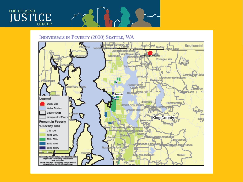



#### INDIVIDUALS IN POVERTY (2000) SEATTLE, WA

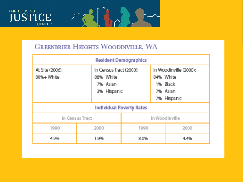



### **GREENBRIER HEIGHTS WOODINVILLE, WA**

| <b>Resident Demographics</b>    |                       |                                        |  |                                                                            |  |
|---------------------------------|-----------------------|----------------------------------------|--|----------------------------------------------------------------------------|--|
| At Site (2006):<br>80%+ White   | 88% White<br>7% Aslan | In Census Tract (2000):<br>3% Hispanic |  | In Woodinville (2000):<br>84% White<br>1% Black<br>7% Aslan<br>7% Hispanic |  |
| <b>Individual Poverty Rates</b> |                       |                                        |  |                                                                            |  |
| In Census Tract                 |                       | In Woodinville                         |  |                                                                            |  |
| 1990                            | 2000                  | 1990                                   |  | 2000                                                                       |  |
| 4.9%                            | 1.9%                  | 8.0%                                   |  | 4.4%                                                                       |  |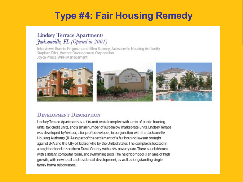# **Type #4: Fair Housing Remedy**

### **Lindsey Terrace Apartments** *Hacksonville, FL (Opened in 2001)*

Interviews: Ronnie Ferguson and Ellen Ramsey, Jacksonville Housing Authority Stephen Frick, Vestcor Development Corporation Joyce Prince, WRH Management



#### **DEVELOPMENT DESCRIPTION**

Lindsey Terrace Apartments is a 336-unit rental complex with a mix of public housing units, tax credit units, and a small number of just-below market-rate units. Lindsey Terrace was developed by Vestcor, a for-profit developer, in conjunction with the Jacksonville Housing Authority (JHA) as part of the settlement of a fair housing lawsuit brought against JHA and the City of Jacksonville by the United States. The complex is located in a neighborhood in southern Duval County with a 9% poverty rate. There is a clubhouse with a library, computer room, and swimming pool. The neighborhood is an area of high growth, with new retail and residential development, as well as longstanding single family home subdivisions.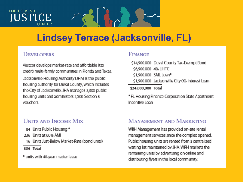# **FAIR HOUSING STICE**

# **Lindsey Terrace (Jacksonville, FL)**

### DEVELOPERS

Vestcor develops market-rate and affordable (tax credit) multi-family communities in Florida and Texas. Jacksonville Housing Authority (JHA) is the public housing authority for Duval County, which includes the City of Jacksonville. JHA manages 2.300 public housing units and administers 5,500 Section 8 vouchers.

### **UNITS AND INCOME MIX**

- 84 Units Public Housing \*
- 236 Units at 60% AMI
- 16 Units Just-Below Market-Rate (bond units)
- 336 Total
- \* units with 40-year master lease

### **FINANCR**

\$14,500,000 Duval County Tax-Exempt Bond \$6,500,000 4% LIHTC \$1,500,000 SAIL Loan\* \$1,500,000 Jacksonville City 0% Interest Loan \$24,000,000 Total

\* FL Housing Finance Corporation State Apartment Incentive Loan

### **MANAGEMENT AND MARKETING**

WRH Management has provided on-site rental management services since the complex opened. Public housing units are rented from a centralized waiting list maintained by JHA WRH markets the remaining units by advertising on online and distributing flyers in the local community.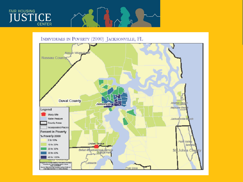



INDIVIDUALS IN POVERTY (2000) JACKSONVILLE, FL

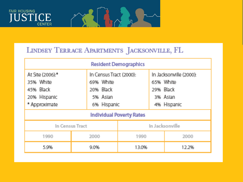



# LINDSEY TERRACE APARTMENTS JACKSONVILLE, FL

| <b>Resident Demographics</b>                                                |                                    |                                        |  |                                                                              |  |  |
|-----------------------------------------------------------------------------|------------------------------------|----------------------------------------|--|------------------------------------------------------------------------------|--|--|
| At Site (2006):*<br>35% White<br>45% Black<br>20% Hispanic<br>* Approximate | 69% White<br>20% Black<br>5% Asian | In Census Tract (2000):<br>6% Hispanic |  | In Jacksonville (2000):<br>65% White<br>29% Black<br>3% Asian<br>4% Hispanic |  |  |
| <b>Individual Poverty Rates</b>                                             |                                    |                                        |  |                                                                              |  |  |
| In Census Tract                                                             |                                    | In Jacksonville                        |  |                                                                              |  |  |
| 1990                                                                        | 2000                               | 1990                                   |  | 2000                                                                         |  |  |
| 5.9%                                                                        | 9.0%                               | 13.0%                                  |  | 12.2%                                                                        |  |  |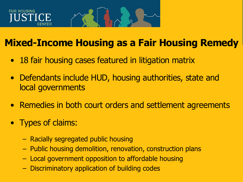# **FAIR HOUSING** ISTICE

# **Mixed-Income Housing as a Fair Housing Remedy**

- 18 fair housing cases featured in litigation matrix
- Defendants include HUD, housing authorities, state and local governments
- Remedies in both court orders and settlement agreements
- Types of claims:
	- Racially segregated public housing
	- Public housing demolition, renovation, construction plans
	- Local government opposition to affordable housing
	- Discriminatory application of building codes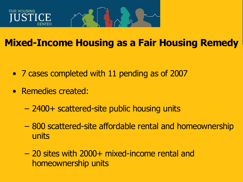

# **Mixed-Income Housing as a Fair Housing Remedy**

- 7 cases completed with 11 pending as of 2007
- Remedies created:
	- 2400+ scattered-site public housing units
	- 800 scattered-site affordable rental and homeownership units
	- 20 sites with 2000+ mixed-income rental and homeownership units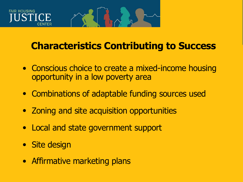# FAIR HOUSING

# **Characteristics Contributing to Success**

- Conscious choice to create a mixed-income housing opportunity in a low poverty area
- Combinations of adaptable funding sources used
- Zoning and site acquisition opportunities
- Local and state government support
- Site design
- Affirmative marketing plans